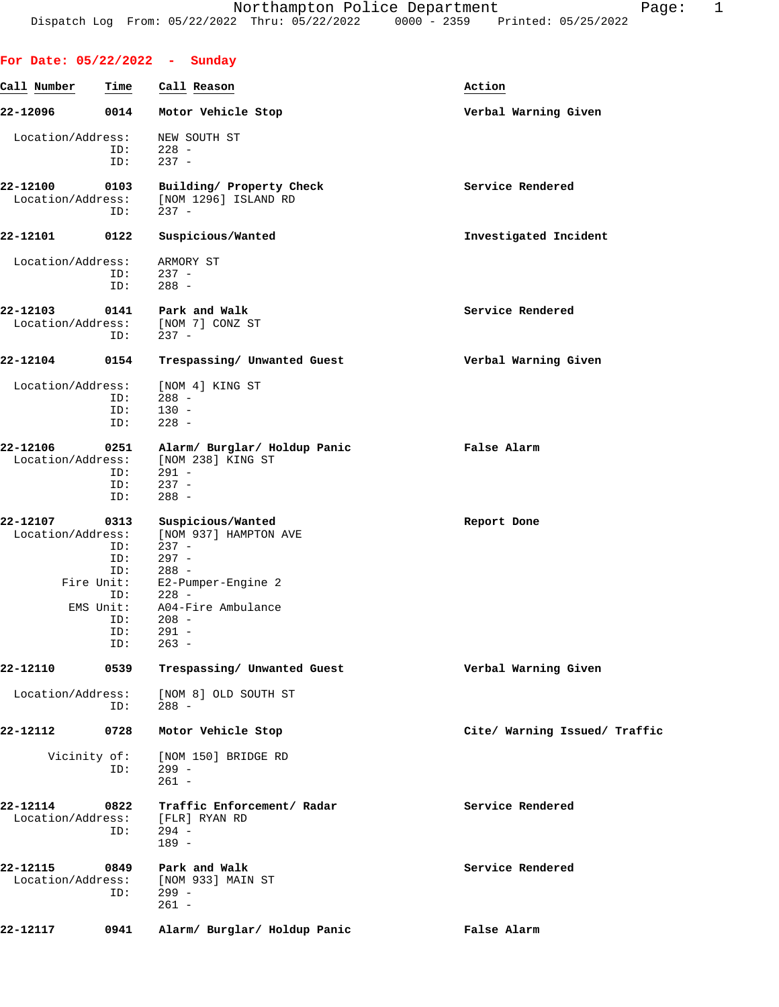|                               |                     | For Date: $05/22/2022 - Sunday$                                   |                               |
|-------------------------------|---------------------|-------------------------------------------------------------------|-------------------------------|
| Call Number                   | Time                | Call Reason                                                       | Action                        |
| 22-12096                      | 0014                | Motor Vehicle Stop                                                | Verbal Warning Given          |
| Location/Address:             | ID:<br>ID:          | NEW SOUTH ST<br>$228 -$<br>$237 -$                                |                               |
| 22-12100<br>Location/Address: | 0103<br>ID:         | Building/ Property Check<br>[NOM 1296] ISLAND RD<br>$237 -$       | Service Rendered              |
| 22-12101                      | 0122                | Suspicious/Wanted                                                 | Investigated Incident         |
| Location/Address:             |                     | ARMORY ST                                                         |                               |
|                               | ID:                 | $237 -$                                                           |                               |
|                               | ID:                 | $288 -$                                                           |                               |
| 22-12103<br>Location/Address: | 0141<br>ID:         | Park and Walk<br>[NOM 7] CONZ ST<br>$237 -$                       | Service Rendered              |
| 22-12104                      | 0154                | Trespassing/ Unwanted Guest                                       | Verbal Warning Given          |
|                               |                     |                                                                   |                               |
| Location/Address:             |                     | [NOM 4] KING ST                                                   |                               |
|                               | ID:                 | $288 -$                                                           |                               |
|                               | ID:<br>ID:          | $130 -$<br>$228 -$                                                |                               |
| 22-12106                      | 0251                |                                                                   | False Alarm                   |
| Location/Address:             |                     | Alarm/ Burglar/ Holdup Panic<br>[NOM 238] KING ST                 |                               |
|                               | ID:                 | $291 -$                                                           |                               |
|                               | ID:                 | $237 -$                                                           |                               |
|                               | ID:                 | $288 -$                                                           |                               |
| 22-12107                      | 0313                | Suspicious/Wanted                                                 | Report Done                   |
| Location/Address:             |                     | [NOM 937] HAMPTON AVE                                             |                               |
|                               | ID:                 | $237 -$                                                           |                               |
|                               | ID:<br>ID:          | $297 -$<br>$288 -$                                                |                               |
|                               | Fire Unit:          | E2-Pumper-Engine 2                                                |                               |
|                               | ID:                 | $228 -$                                                           |                               |
|                               | $ENS$ Unit:         | A04-Fire Ambulance                                                |                               |
|                               | ID:                 | $208 -$                                                           |                               |
|                               | ID:                 | $291 -$                                                           |                               |
|                               | ID:                 | $263 -$                                                           |                               |
| 22-12110                      | 0539                | Trespassing/ Unwanted Guest                                       | Verbal Warning Given          |
| Location/Address:             | ID:                 | [NOM 8] OLD SOUTH ST<br>$288 -$                                   |                               |
| 22-12112                      | 0728                | Motor Vehicle Stop                                                | Cite/ Warning Issued/ Traffic |
|                               | Vicinity of:<br>ID: | [NOM 150] BRIDGE RD<br>$299 -$<br>$261 -$                         |                               |
| 22-12114<br>Location/Address: | 0822<br>ID:         | Traffic Enforcement/ Radar<br>[FLR] RYAN RD<br>$294 -$<br>$189 -$ | Service Rendered              |
| 22-12115<br>Location/Address: | 0849<br>ID:         | Park and Walk<br>[NOM 933] MAIN ST<br>$299 -$<br>$261 -$          | Service Rendered              |
| 22-12117                      | 0941                | Alarm/ Burglar/ Holdup Panic                                      | False Alarm                   |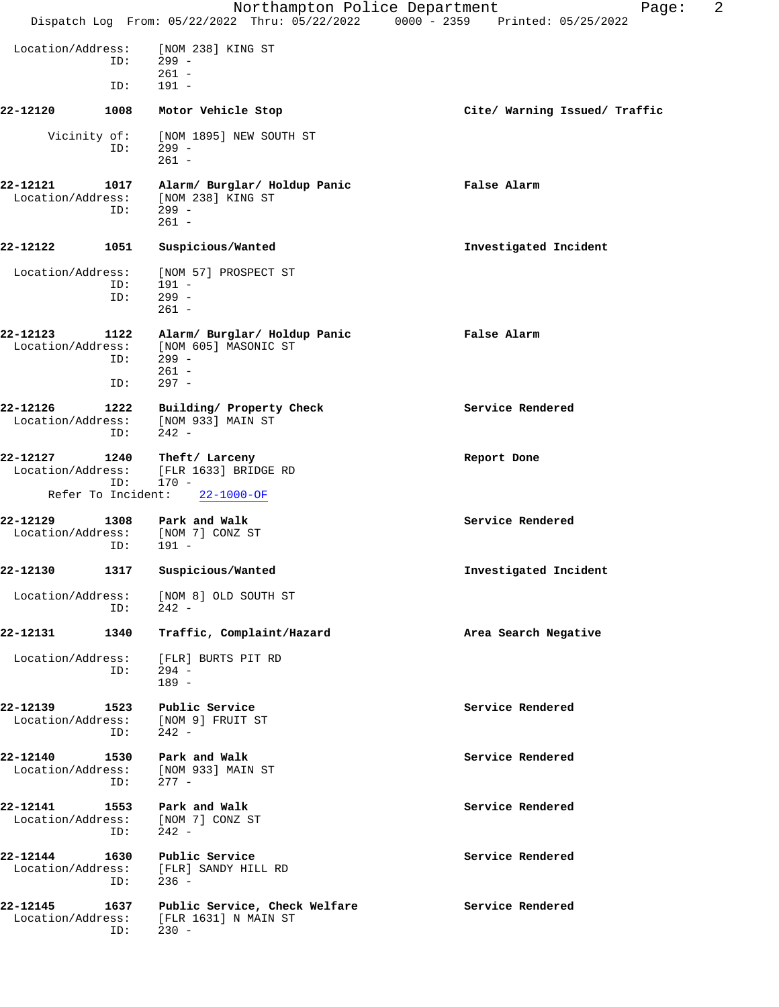|                                                     |                    |                                                                                       | 2<br>Northampton Police Department<br>Page:<br>Dispatch Log From: 05/22/2022 Thru: 05/22/2022 0000 - 2359 Printed: 05/25/2022 |
|-----------------------------------------------------|--------------------|---------------------------------------------------------------------------------------|-------------------------------------------------------------------------------------------------------------------------------|
| Location/Address:                                   | ID:                | [NOM 238] KING ST<br>299 -<br>$261 -$                                                 |                                                                                                                               |
|                                                     | ID:                | $191 -$                                                                               |                                                                                                                               |
| 22-12120                                            | 1008               | Motor Vehicle Stop                                                                    | Cite/ Warning Issued/ Traffic                                                                                                 |
| Vicinity of:                                        | ID:                | [NOM 1895] NEW SOUTH ST<br>$299 -$<br>$261 -$                                         |                                                                                                                               |
| 22-12121<br>Location/Address:                       | 1017<br>ID:        | Alarm/ Burglar/ Holdup Panic<br>[NOM 238] KING ST<br>$299 -$<br>$261 -$               | False Alarm                                                                                                                   |
| 22-12122                                            | 1051               | Suspicious/Wanted                                                                     | Investigated Incident                                                                                                         |
| Location/Address:                                   | ID:<br>ID:         | [NOM 57] PROSPECT ST<br>$191 -$<br>$299 -$<br>$261 -$                                 |                                                                                                                               |
| 22-12123<br>Location/Address:                       | 1122<br>ID:<br>ID: | Alarm/ Burglar/ Holdup Panic<br>[NOM 605] MASONIC ST<br>$299 -$<br>$261 -$<br>$297 -$ | False Alarm                                                                                                                   |
| 22-12126<br>Location/Address:                       | 1222<br>ID:        | Building/ Property Check<br>[NOM 933] MAIN ST<br>$242 -$                              | Service Rendered                                                                                                              |
| 22-12127<br>Location/Address:<br>Refer To Incident: | 1240<br>ID:        | Theft/ Larceny<br>[FLR 1633] BRIDGE RD<br>$170 -$<br>$22 - 1000 - OF$                 | Report Done                                                                                                                   |
| 22-12129<br>Location/Address:                       | 1308<br>ID:        | Park and Walk<br>[NOM 7] CONZ ST<br>191 -                                             | Service Rendered                                                                                                              |
|                                                     |                    | 22-12130 1317 Suspicious/Wanted                                                       | Investigated Incident                                                                                                         |
| Location/Address:                                   | ID:                | [NOM 8] OLD SOUTH ST<br>$242 -$                                                       |                                                                                                                               |
| 22-12131                                            | 1340               | Traffic, Complaint/Hazard                                                             | Area Search Negative                                                                                                          |
| Location/Address:                                   | ID:                | [FLR] BURTS PIT RD<br>294 -<br>$189 -$                                                |                                                                                                                               |
| 22-12139<br>Location/Address:                       | 1523<br>ID:        | Public Service<br>[NOM 9] FRUIT ST<br>$242 -$                                         | Service Rendered                                                                                                              |
| 22-12140<br>Location/Address:                       | 1530<br>ID:        | Park and Walk<br>[NOM 933] MAIN ST<br>$277 -$                                         | Service Rendered                                                                                                              |
| 22-12141                                            | 1553<br>ID:        | Park and Walk<br>Location/Address: [NOM 7] CONZ ST<br>$242 -$                         | Service Rendered                                                                                                              |
| 22-12144<br>Location/Address:                       | 1630<br>ID:        | Public Service<br>[FLR] SANDY HILL RD<br>$236 -$                                      | Service Rendered                                                                                                              |
| 22-12145<br>Location/Address:                       | 1637<br>ID:        | Public Service, Check Welfare<br>[FLR 1631] N MAIN ST<br>$230 -$                      | Service Rendered                                                                                                              |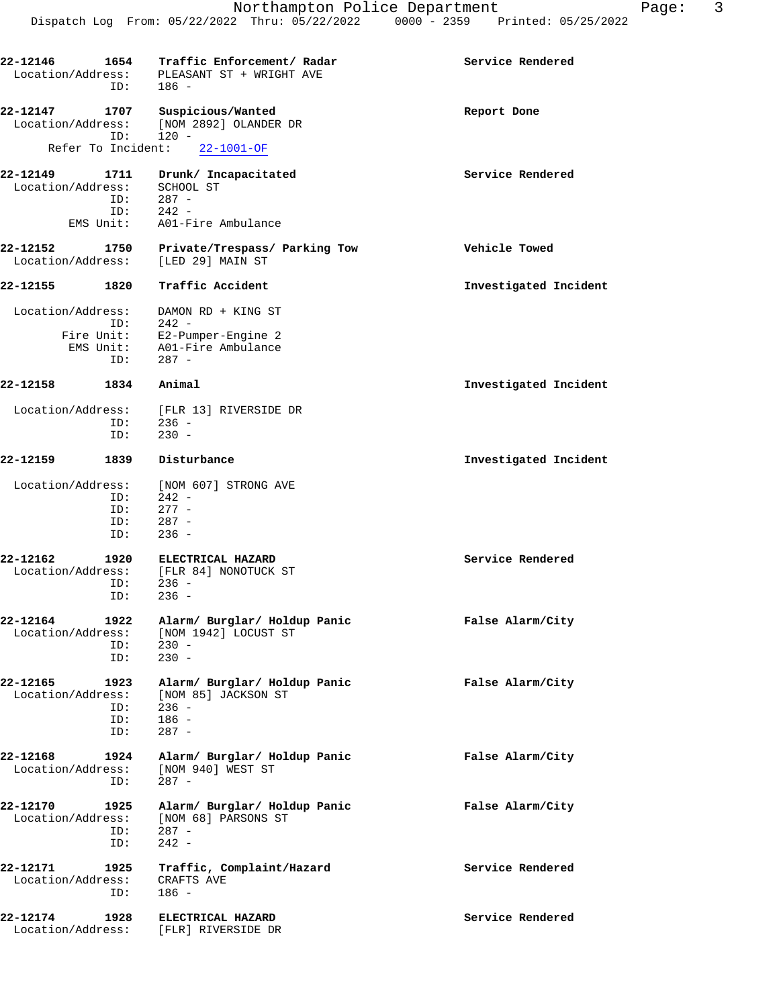| 22-12146          |                    | 1654 Traffic Enforcement/ Radar            | Service Rendered      |
|-------------------|--------------------|--------------------------------------------|-----------------------|
|                   |                    | Location/Address: PLEASANT ST + WRIGHT AVE |                       |
|                   | ID:                | 186 -                                      |                       |
|                   |                    |                                            |                       |
| 22-12147          | 1707               | Suspicious/Wanted                          | Report Done           |
| Location/Address: |                    | [NOM 2892] OLANDER DR                      |                       |
|                   | ID:                | $120 -$                                    |                       |
|                   | Refer To Incident: | $22 - 1001 - OF$                           |                       |
| 22-12149          | 1711               | Drunk/ Incapacitated                       | Service Rendered      |
| Location/Address: |                    | SCHOOL ST                                  |                       |
|                   | ID:                | $287 -$                                    |                       |
|                   |                    | $ID: 242 -$                                |                       |
|                   | EMS Unit:          | A01-Fire Ambulance                         |                       |
|                   |                    |                                            |                       |
| 22-12152          | 1750               | Private/Trespass/ Parking Tow              | Vehicle Towed         |
| Location/Address: |                    | [LED 29] MAIN ST                           |                       |
| 22-12155          | 1820               | Traffic Accident                           | Investigated Incident |
|                   |                    |                                            |                       |
| Location/Address: |                    | DAMON RD + KING ST                         |                       |
|                   | ID:                | $242 -$                                    |                       |
|                   |                    | Fire Unit: E2-Pumper-Engine 2              |                       |
|                   |                    | EMS Unit: A01-Fire Ambulance               |                       |
|                   | ID:                | 287 -                                      |                       |
|                   |                    |                                            |                       |
| 22-12158          | 1834               | Animal                                     | Investigated Incident |
| Location/Address: |                    | [FLR 13] RIVERSIDE DR                      |                       |
|                   | ID:                | $236 -$                                    |                       |
|                   | ID:                | $230 -$                                    |                       |
|                   |                    |                                            |                       |
| 22-12159          | 1839               | Disturbance                                | Investigated Incident |
| Location/Address: |                    | [NOM 607] STRONG AVE                       |                       |
|                   | ID:                | $242 -$                                    |                       |
|                   | ID:                | $277 -$                                    |                       |
|                   | ID:                | $287 -$                                    |                       |
|                   | ID:                | $236 -$                                    |                       |
|                   |                    |                                            |                       |
| 22-12162          | 1920               | ELECTRICAL HAZARD                          | Service Rendered      |
| Location/Address: | ID:                | [FLR 84] NONOTUCK ST<br>$236 -$            |                       |
|                   | ID:                | $236 -$                                    |                       |
|                   |                    |                                            |                       |
| 22-12164          | 1922               | Alarm/ Burglar/ Holdup Panic               | False Alarm/City      |
| Location/Address: |                    | [NOM 1942] LOCUST ST                       |                       |
|                   | ID:                | $230 -$                                    |                       |
|                   | ID:                | $230 -$                                    |                       |
|                   |                    |                                            |                       |
| 22-12165          | 1923               | Alarm/ Burglar/ Holdup Panic               | False Alarm/City      |
| Location/Address: |                    | [NOM 85] JACKSON ST                        |                       |
|                   | ID:                | $236 -$                                    |                       |
|                   | ID:                | $186 -$                                    |                       |
|                   | ID:                | $287 -$                                    |                       |
| 22-12168          | 1924               | Alarm/ Burglar/ Holdup Panic               | False Alarm/City      |
| Location/Address: |                    | [NOM 940] WEST ST                          |                       |
|                   | ID:                | $287 -$                                    |                       |
|                   |                    |                                            |                       |
| 22-12170          | 1925               | Alarm/ Burglar/ Holdup Panic               | False Alarm/City      |
| Location/Address: |                    | [NOM 68] PARSONS ST                        |                       |
|                   | ID:                | $287 -$                                    |                       |
|                   | ID:                | $242 -$                                    |                       |
|                   |                    |                                            |                       |
| 22-12171          | 1925               | Traffic, Complaint/Hazard                  | Service Rendered      |
| Location/Address: | ID:                | CRAFTS AVE<br>$186 -$                      |                       |
|                   |                    |                                            |                       |
| 22-12174          | 1928               | ELECTRICAL HAZARD                          | Service Rendered      |
| Location/Address: |                    | [FLR] RIVERSIDE DR                         |                       |
|                   |                    |                                            |                       |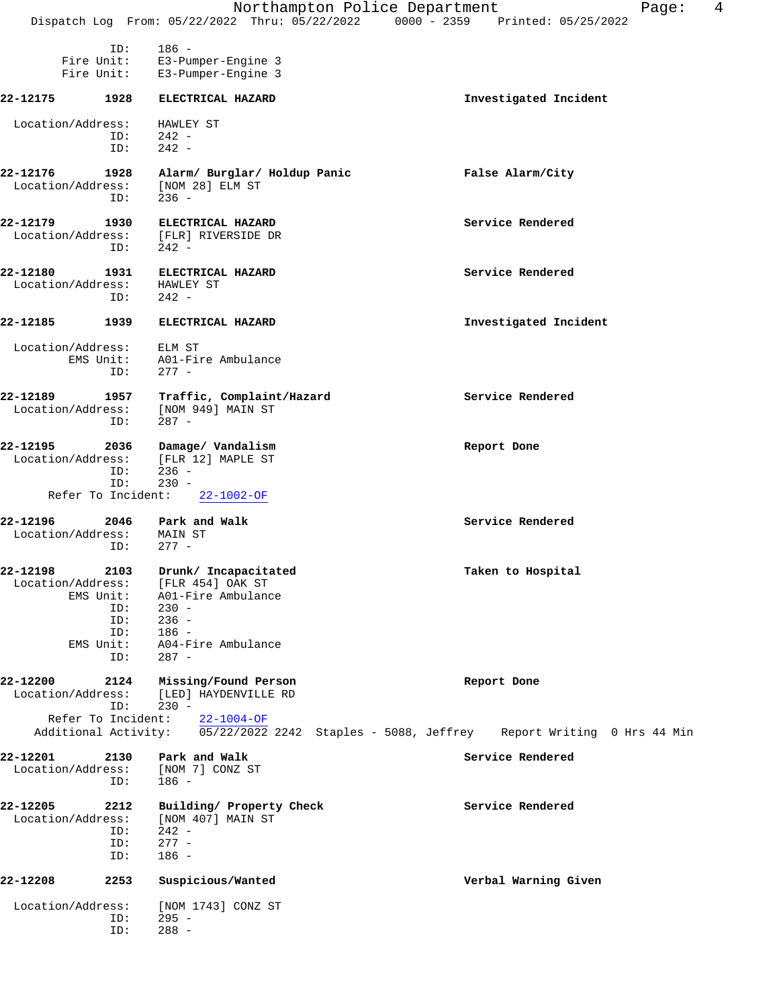|                                                                                     |                                                                                                                                       | Northampton Police Department<br>4<br>Page:<br>Dispatch Log From: 05/22/2022 Thru: 05/22/2022 0000 - 2359 Printed: 05/25/2022 |
|-------------------------------------------------------------------------------------|---------------------------------------------------------------------------------------------------------------------------------------|-------------------------------------------------------------------------------------------------------------------------------|
| ID:<br>Fire Unit:<br>Fire Unit:                                                     | $186 -$<br>E3-Pumper-Engine 3<br>E3-Pumper-Engine 3                                                                                   |                                                                                                                               |
| 22-12175<br>1928                                                                    | ELECTRICAL HAZARD                                                                                                                     |                                                                                                                               |
|                                                                                     |                                                                                                                                       | Investigated Incident                                                                                                         |
| Location/Address:<br>ID:<br>ID:                                                     | HAWLEY ST<br>$242 -$<br>$242 -$                                                                                                       |                                                                                                                               |
| 22-12176<br>1928<br>Location/Address:<br>ID:                                        | Alarm/ Burglar/ Holdup Panic<br>[NOM 28] ELM ST<br>$236 -$                                                                            | False Alarm/City                                                                                                              |
| 22-12179<br>1930<br>Location/Address:<br>ID:                                        | ELECTRICAL HAZARD<br>[FLR] RIVERSIDE DR<br>$242 -$                                                                                    | Service Rendered                                                                                                              |
| 22-12180<br>1931<br>Location/Address:<br>ID:                                        | ELECTRICAL HAZARD<br>HAWLEY ST<br>$242 -$                                                                                             | Service Rendered                                                                                                              |
| 22-12185<br>1939                                                                    | ELECTRICAL HAZARD                                                                                                                     | Investigated Incident                                                                                                         |
| Location/Address:<br>EMS Unit:<br>ID:                                               | ELM ST<br>A01-Fire Ambulance<br>$277 -$                                                                                               |                                                                                                                               |
| 22-12189<br>1957<br>Location/Address:<br>ID:                                        | Traffic, Complaint/Hazard<br>[NOM 949] MAIN ST<br>$287 -$                                                                             | Service Rendered                                                                                                              |
| 22-12195<br>2036<br>Location/Address:<br>ID:<br>ID:                                 | Damage/ Vandalism<br>[FLR 12] MAPLE ST<br>$236 -$<br>$230 -$                                                                          | Report Done                                                                                                                   |
| Refer To Incident:                                                                  | $22 - 1002 - OF$                                                                                                                      |                                                                                                                               |
| 22-12196<br>2046<br>Location/Address:<br>ID:                                        | Park and Walk<br>MAIN ST<br>$277 -$                                                                                                   | Service Rendered                                                                                                              |
| 22-12198<br>Location/Address:<br>EMS Unit:<br>ID:<br>ID:<br>ID:<br>EMS Unit:<br>ID: | 2103 Drunk/ Incapacitated<br>[FLR 454] OAK ST<br>A01-Fire Ambulance<br>$230 -$<br>$236 -$<br>$186 -$<br>A04-Fire Ambulance<br>$287 -$ | Taken to Hospital                                                                                                             |
| 22-12200<br>ID:                                                                     | 2124 Missing/Found Person<br>Location/Address: [LED] HAYDENVILLE RD<br>$230 -$                                                        | Report Done                                                                                                                   |
| Refer To Incident:                                                                  | $22 - 1004 - OF$                                                                                                                      | Additional Activity: 05/22/2022 2242 Staples - 5088, Jeffrey Report Writing 0 Hrs 44 Min                                      |
| 2130<br>22-12201<br>Location/Address:<br>ID:                                        | Park and Walk<br>[NOM 7] CONZ ST<br>$186 -$                                                                                           | Service Rendered                                                                                                              |
| 22-12205<br>2212<br>Location/Address:<br>ID:<br>ID:<br>ID:                          | Building/ Property Check<br>[NOM 407] MAIN ST<br>$242 -$<br>$277 -$<br>$186 -$                                                        | Service Rendered                                                                                                              |
| 22-12208<br>2253                                                                    | Suspicious/Wanted                                                                                                                     | Verbal Warning Given                                                                                                          |
| Location/Address:<br>ID:<br>ID:                                                     | [NOM 1743] CONZ ST<br>$295 -$<br>$288 -$                                                                                              |                                                                                                                               |